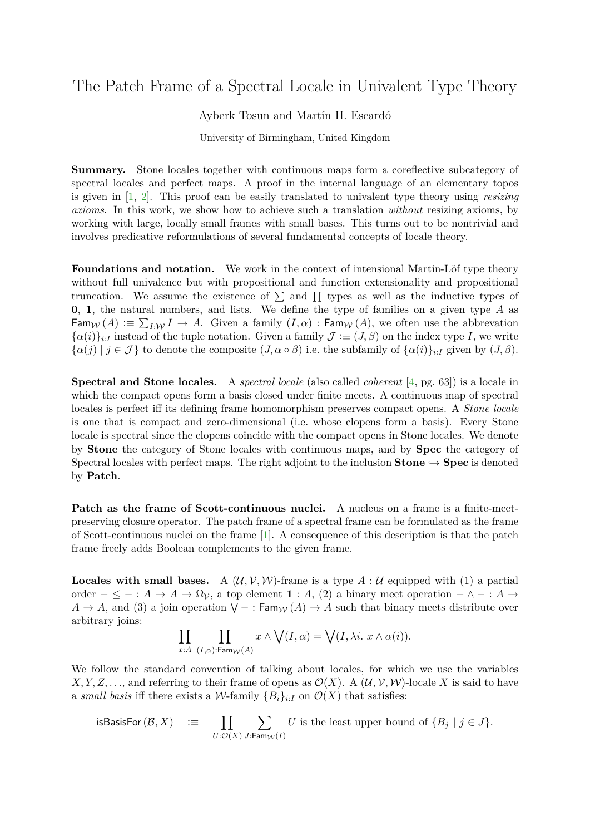## The Patch Frame of a Spectral Locale in Univalent Type Theory

Ayberk Tosun and Martín H. Escardó

University of Birmingham, United Kingdom

**Summary.** Stone locales together with continuous maps form a coreflective subcategory of spectral locales and perfect maps. A proof in the internal language of an elementary topos is given in [\[1,](#page-1-0) [2\]](#page-1-1). This proof can be easily translated to univalent type theory using *resizing axioms*. In this work, we show how to achieve such a translation *without* resizing axioms, by working with large, locally small frames with small bases. This turns out to be nontrivial and involves predicative reformulations of several fundamental concepts of locale theory.

**Foundations and notation.** We work in the context of intensional Martin-Löf type theory without full univalence but with propositional and function extensionality and propositional truncation. We assume the existence of  $\Sigma$  and  $\Pi$  types as well as the inductive types of **0**, **1**, the natural numbers, and lists. We define the type of families on a given type *A* as  $\textsf{Fam}_\mathcal{W}(A) := \sum_{I: \mathcal{W}} I \to A$ . Given a family  $(I, \alpha)$ :  $\textsf{Fam}_\mathcal{W}(A)$ , we often use the abbrevation  ${\{\alpha(i)\}}_{i:I}$  instead of the tuple notation. Given a family  $\mathcal{J} := (J, \beta)$  on the index type *I*, we write  $\{\alpha(j) \mid j \in \mathcal{J}\}\$ to denote the composite  $(J, \alpha \circ \beta)$  i.e. the subfamily of  $\{\alpha(i)\}_{i \in I}$  given by  $(J, \beta)$ .

**Spectral and Stone locales.** A *spectral locale* (also called *coherent* [\[4,](#page-2-0) pg. 63]) is a locale in which the compact opens form a basis closed under finite meets. A continuous map of spectral locales is perfect iff its defining frame homomorphism preserves compact opens. A *Stone locale* is one that is compact and zero-dimensional (i.e. whose clopens form a basis). Every Stone locale is spectral since the clopens coincide with the compact opens in Stone locales. We denote by **Stone** the category of Stone locales with continuous maps, and by **Spec** the category of Spectral locales with perfect maps. The right adjoint to the inclusion **Stone**  $\rightarrow$  **Spec** is denoted by **Patch**.

**Patch as the frame of Scott-continuous nuclei.** A nucleus on a frame is a finite-meetpreserving closure operator. The patch frame of a spectral frame can be formulated as the frame of Scott-continuous nuclei on the frame [\[1\]](#page-1-0). A consequence of this description is that the patch frame freely adds Boolean complements to the given frame.

**Locales with small bases.** A  $(\mathcal{U}, \mathcal{V}, \mathcal{W})$ -frame is a type  $A : \mathcal{U}$  equipped with (1) a partial order  $-\leq -: A \to A \to \Omega_V$ , a top element **1** : *A*, (2) a binary meet operation  $-\wedge -: A \to A$  $A \to A$ , and (3) a join operation  $\bigvee - : \mathsf{Fam}_\mathcal{W}(A) \to A$  such that binary meets distribute over arbitrary joins:

$$
\prod_{x:A}\,\,\prod_{(I,\alpha):\mathsf{Fam}_{\mathcal{W}}(A)}x\wedge\bigvee(I,\alpha)=\bigvee(I,\lambda i.\,\,x\wedge\alpha(i)).
$$

We follow the standard convention of talking about locales, for which we use the variables *X, Y, Z,...,* and referring to their frame of opens as  $\mathcal{O}(X)$ . A  $(\mathcal{U}, \mathcal{V}, \mathcal{W})$ -locale *X* is said to have a *small basis* iff there exists a *W*-family  ${B_i}_{i \cdot I}$  on  $\mathcal{O}(X)$  that satisfies:

isBasisFor 
$$
(\mathcal{B}, X)
$$
 :=  $\prod_{U:\mathcal{O}(X)} \sum_{J:\text{Fam}_{\mathcal{W}}(I)} U$  is the least upper bound of  $\{B_j \mid j \in J\}$ .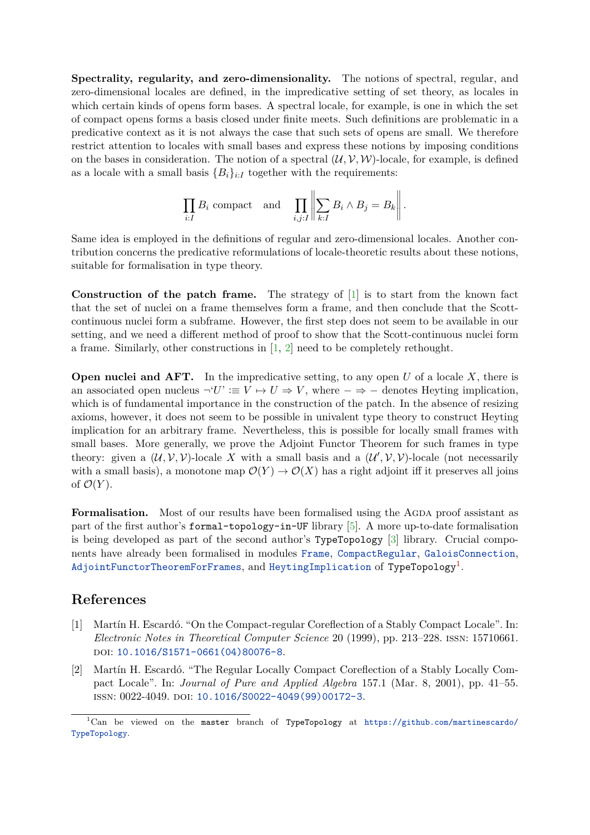**Spectrality, regularity, and zero-dimensionality.** The notions of spectral, regular, and zero-dimensional locales are defined, in the impredicative setting of set theory, as locales in which certain kinds of opens form bases. A spectral locale, for example, is one in which the set of compact opens forms a basis closed under finite meets. Such definitions are problematic in a predicative context as it is not always the case that such sets of opens are small. We therefore restrict attention to locales with small bases and express these notions by imposing conditions on the bases in consideration. The notion of a spectral  $(\mathcal{U}, \mathcal{V}, \mathcal{W})$ -locale, for example, is defined as a locale with a small basis  ${B_i}_{i:I}$  together with the requirements:

$$
\prod_{i:I} B_i
$$
 compact and 
$$
\prod_{i,j:I} \left\| \sum_{k:I} B_i \wedge B_j = B_k \right\|.
$$

Same idea is employed in the definitions of regular and zero-dimensional locales. Another contribution concerns the predicative reformulations of locale-theoretic results about these notions, suitable for formalisation in type theory.

**Construction of the patch frame.** The strategy of [\[1\]](#page-1-0) is to start from the known fact that the set of nuclei on a frame themselves form a frame, and then conclude that the Scottcontinuous nuclei form a subframe. However, the first step does not seem to be available in our setting, and we need a different method of proof to show that the Scott-continuous nuclei form a frame. Similarly, other constructions in [\[1,](#page-1-0) [2\]](#page-1-1) need to be completely rethought.

**Open nuclei and AFT.** In the impredicative setting, to any open *U* of a locale *X*, there is an associated open nucleus  $\neg' U' \equiv V \mapsto U \Rightarrow V$ , where  $-\Rightarrow -$  denotes Heyting implication, which is of fundamental importance in the construction of the patch. In the absence of resizing axioms, however, it does not seem to be possible in univalent type theory to construct Heyting implication for an arbitrary frame. Nevertheless, this is possible for locally small frames with small bases. More generally, we prove the Adjoint Functor Theorem for such frames in type theory: given a  $(\mathcal{U}, \mathcal{V}, \mathcal{V})$ -locale X with a small basis and a  $(\mathcal{U}', \mathcal{V}, \mathcal{V})$ -locale (not necessarily with a small basis), a monotone map  $\mathcal{O}(Y) \to \mathcal{O}(X)$  has a right adjoint iff it preserves all joins of  $\mathcal{O}(Y)$ .

**Formalisation.** Most of our results have been formalised using the AGDA proof assistant as part of the first author's formal-topology-in-UF library [\[5\]](#page-2-1). A more up-to-date formalisation is being developed as part of the second author's TypeTopology [\[3\]](#page-2-2) library. Crucial components have already been formalised in modules [Frame](https://www.cs.bham.ac.uk/~mhe/TypeTopology/Frame.html), [CompactRegular](https://www.cs.bham.ac.uk/~mhe/TypeTopology/CompactRegular.html), [GaloisConnection](https://www.cs.bham.ac.uk/~mhe/TypeTopology/GaloisConnection.html),  ${\tt AdjointFunction}$ TheoremForFrames, and [HeytingImplication](https://www.cs.bham.ac.uk/~mhe/TypeTopology/HeytingImplication.html) of TypeTopology $^1.$  $^1.$  $^1.$ 

## **References**

- <span id="page-1-0"></span>[1] Martín H. Escardó. "On the Compact-regular Coreflection of a Stably Compact Locale". In: *Electronic Notes in Theoretical Computer Science* 20 (1999), pp. 213–228. issn: 15710661. DOI: [10.1016/S1571-0661\(04\)80076-8](https://doi.org/10.1016/S1571-0661(04)80076-8).
- <span id="page-1-1"></span>[2] Martín H. Escardó. "The Regular Locally Compact Coreflection of a Stably Locally Compact Locale". In: *Journal of Pure and Applied Algebra* 157.1 (Mar. 8, 2001), pp. 41–55. ISSN: 0022-4049. DOI: [10.1016/S0022-4049\(99\)00172-3](https://doi.org/10.1016/S0022-4049(99)00172-3).

<span id="page-1-2"></span> $1$ Can be viewed on the master branch of TypeTopology at [https://github.com/martinescardo/](https://github.com/martinescardo/TypeTopology) [TypeTopology](https://github.com/martinescardo/TypeTopology).